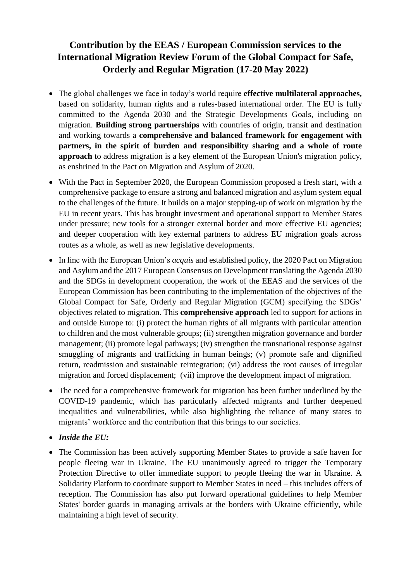## **Contribution by the EEAS / European Commission services to the International Migration Review Forum of the Global Compact for Safe, Orderly and Regular Migration (17-20 May 2022)**

- The global challenges we face in today's world require **effective multilateral approaches,** based on solidarity, human rights and a rules-based international order. The EU is fully committed to the Agenda 2030 and the Strategic Developments Goals, including on migration. **Building strong partnerships** with countries of origin, transit and destination and working towards a **comprehensive and balanced framework for engagement with partners, in the spirit of burden and responsibility sharing and a whole of route approach** to address migration is a key element of the European Union's migration policy, as enshrined in the Pact on Migration and Asylum of 2020.
- With the Pact in September 2020, the European Commission proposed a fresh start, with a comprehensive package to ensure a strong and balanced migration and asylum system equal to the challenges of the future. It builds on a major stepping-up of work on migration by the EU in recent years. This has brought investment and operational support to Member States under pressure; new tools for a stronger external border and more effective EU agencies; and deeper cooperation with key external partners to address EU migration goals across routes as a whole, as well as new legislative developments.
- In line with the European Union's *acquis* and established policy, the 2020 Pact on Migration and Asylum and the 2017 European Consensus on Development translating the Agenda 2030 and the SDGs in development cooperation, the work of the EEAS and the services of the European Commission has been contributing to the implementation of the objectives of the Global Compact for Safe, Orderly and Regular Migration (GCM) specifying the SDGs' objectives related to migration. This **comprehensive approach** led to support for actions in and outside Europe to: (i) protect the human rights of all migrants with particular attention to children and the most vulnerable groups; (ii) strengthen migration governance and border management; (ii) promote legal pathways; (iv) strengthen the transnational response against smuggling of migrants and trafficking in human beings; (v) promote safe and dignified return, readmission and sustainable reintegration; (vi) address the root causes of irregular migration and forced displacement; (vii) improve the development impact of migration.
- The need for a comprehensive framework for migration has been further underlined by the COVID-19 pandemic, which has particularly affected migrants and further deepened inequalities and vulnerabilities, while also highlighting the reliance of many states to migrants' workforce and the contribution that this brings to our societies.
- *Inside the EU:*
- The Commission has been actively supporting Member States to provide a safe haven for people fleeing war in Ukraine. The EU unanimously agreed to trigger the Temporary Protection Directive to offer immediate support to people fleeing the war in Ukraine. A Solidarity Platform to coordinate support to Member States in need – this includes offers of reception. The Commission has also put forward operational guidelines to help Member States' border guards in managing arrivals at the borders with Ukraine efficiently, while maintaining a high level of security.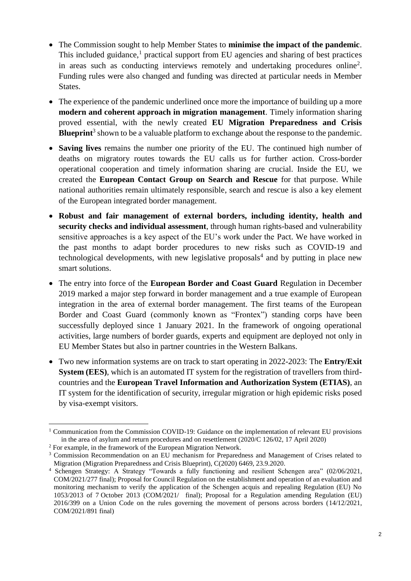- The Commission sought to help Member States to **minimise the impact of the pandemic**. This included guidance,<sup>1</sup> practical support from EU agencies and sharing of best practices in areas such as conducting interviews remotely and undertaking procedures online<sup>2</sup>. Funding rules were also changed and funding was directed at particular needs in Member States.
- The experience of the pandemic underlined once more the importance of building up a more **modern and coherent approach in migration management**. Timely information sharing proved essential, with the newly created **EU Migration Preparedness and Crisis**  Blueprint<sup>3</sup> shown to be a valuable platform to exchange about the response to the pandemic.
- **Saving lives** remains the number one priority of the EU. The continued high number of deaths on migratory routes towards the EU calls us for further action. Cross-border operational cooperation and timely information sharing are crucial. Inside the EU, we created the **European Contact Group on Search and Rescue** for that purpose. While national authorities remain ultimately responsible, search and rescue is also a key element of the European integrated border management.
- **Robust and fair management of external borders, including identity, health and security checks and individual assessment**, through human rights-based and vulnerability sensitive approaches is a key aspect of the EU's work under the Pact. We have worked in the past months to adapt border procedures to new risks such as COVID-19 and technological developments, with new legislative proposals<sup>4</sup> and by putting in place new smart solutions.
- The entry into force of the **European Border and Coast Guard** Regulation in December 2019 marked a major step forward in border management and a true example of European integration in the area of external border management. The first teams of the European Border and Coast Guard (commonly known as "Frontex") standing corps have been successfully deployed since 1 January 2021. In the framework of ongoing operational activities, large numbers of border guards, experts and equipment are deployed not only in EU Member States but also in partner countries in the Western Balkans.
- Two new information systems are on track to start operating in 2022-2023: The **Entry/Exit System (EES)**, which is an automated IT system for the registration of travellers from thirdcountries and the **European Travel Information and Authorization System (ETIAS)**, an IT system for the identification of security, irregular migration or high epidemic risks posed by visa-exempt visitors.

 $\overline{a}$ 

<sup>1</sup> Communication from the Commission COVID-19: Guidance on the implementation of relevant EU provisions in the area of asylum and return procedures and on resettlement (2020/C 126/02, 17 April 2020)

<sup>2</sup> For example, in the framework of the European Migration Network.

<sup>&</sup>lt;sup>3</sup> Commission Recommendation on an EU mechanism for Preparedness and Management of Crises related to Migration (Migration Preparedness and Crisis Blueprint), C(2020) 6469, 23.9.2020.

<sup>4</sup> Schengen Strategy: A Strategy "Towards a fully functioning and resilient Schengen area" (02/06/2021, COM/2021/277 final); Proposal for Council Regulation on the establishment and operation of an evaluation and monitoring mechanism to verify the application of the Schengen acquis and repealing Regulation (EU) No 1053/2013 of 7 October 2013 (COM/2021/ final); Proposal for a Regulation amending Regulation (EU) 2016/399 on a Union Code on the rules governing the movement of persons across borders (14/12/2021, COM/2021/891 final)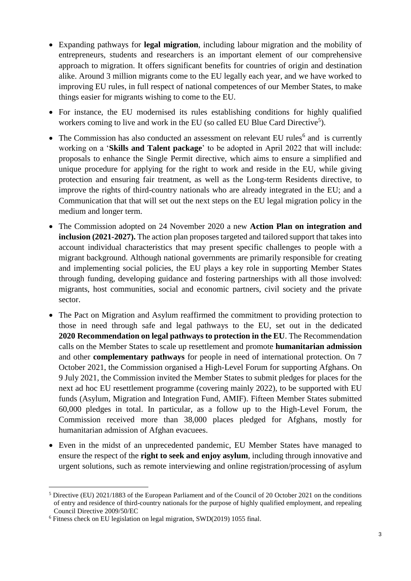- Expanding pathways for **legal migration**, including labour migration and the mobility of entrepreneurs, students and researchers is an important element of our comprehensive approach to migration. It offers significant benefits for countries of origin and destination alike. Around 3 million migrants come to the EU legally each year, and we have worked to improving EU rules, in full respect of national competences of our Member States, to make things easier for migrants wishing to come to the EU.
- For instance, the EU modernised its rules establishing conditions for highly qualified workers coming to live and work in the EU (so called EU Blue Card Directive<sup>5</sup>).
- The Commission has also conducted an assessment on relevant EU rules<sup>6</sup> and is currently working on a '**Skills and Talent package**' to be adopted in April 2022 that will include: proposals to enhance the Single Permit directive, which aims to ensure a simplified and unique procedure for applying for the right to work and reside in the EU, while giving protection and ensuring fair treatment, as well as the Long-term Residents directive, to improve the rights of third-country nationals who are already integrated in the EU; and a Communication that that will set out the next steps on the EU legal migration policy in the medium and longer term.
- The Commission adopted on 24 November 2020 a new **Action Plan on integration and inclusion (2021-2027).** The action plan proposes targeted and tailored support that takes into account individual characteristics that may present specific challenges to people with a migrant background. Although national governments are primarily responsible for creating and implementing social policies, the EU plays a key role in supporting Member States through funding, developing guidance and fostering partnerships with all those involved: migrants, host communities, social and economic partners, civil society and the private sector.
- The Pact on Migration and Asylum reaffirmed the commitment to providing protection to those in need through safe and legal pathways to the EU, set out in the dedicated **2020 Recommendation on legal pathways to protection in the EU**. The Recommendation calls on the Member States to scale up resettlement and promote **humanitarian admission** and other **complementary pathways** for people in need of international protection. On 7 October 2021, the Commission organised a High-Level Forum for supporting Afghans. On 9 July 2021, the Commission invited the Member States to submit pledges for places for the next ad hoc EU resettlement programme (covering mainly 2022), to be supported with EU funds (Asylum, Migration and Integration Fund, AMIF). Fifteen Member States submitted 60,000 pledges in total. In particular, as a follow up to the High-Level Forum, the Commission received more than 38,000 places pledged for Afghans, mostly for humanitarian admission of Afghan evacuees.
- Even in the midst of an unprecedented pandemic, EU Member States have managed to ensure the respect of the **right to seek and enjoy asylum**, including through innovative and urgent solutions, such as remote interviewing and online registration/processing of asylum

 $\overline{a}$ <sup>5</sup> Directive (EU) 2021/1883 of the European Parliament and of the Council of 20 October 2021 on the conditions of entry and residence of third-country nationals for the purpose of highly qualified employment, and repealing Council Directive 2009/50/EC

<sup>6</sup> Fitness check on EU legislation on legal migration, SWD(2019) 1055 final.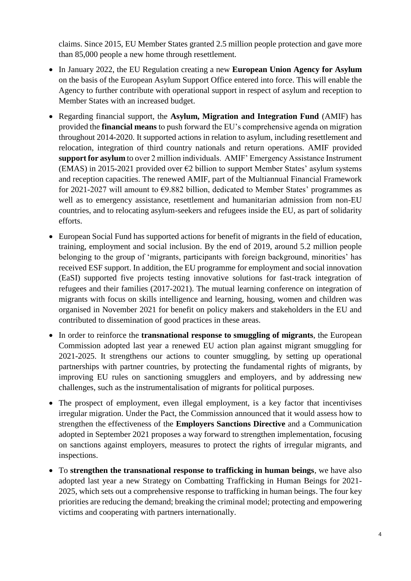claims. Since 2015, EU Member States granted 2.5 million people protection and gave more than 85,000 people a new home through resettlement.

- In January 2022, the EU Regulation creating a new **European Union Agency for Asylum** on the basis of the European Asylum Support Office entered into force. This will enable the Agency to further contribute with operational support in respect of asylum and reception to Member States with an increased budget.
- Regarding financial support, the **Asylum, Migration and Integration Fund** (AMIF) has provided the **financial means** to push forward the EU's comprehensive agenda on migration throughout 2014-2020. It supported actions in relation to asylum, including resettlement and relocation, integration of third country nationals and return operations. AMIF provided **support for asylum** to over 2 million individuals. AMIF' Emergency Assistance Instrument (EMAS) in 2015-2021 provided over  $\epsilon$ 2 billion to support Member States' asylum systems and reception capacities. The renewed AMIF, part of the Multiannual Financial Framework for 2021-2027 will amount to  $\epsilon$ 9.882 billion, dedicated to Member States' programmes as well as to emergency assistance, resettlement and humanitarian admission from non-EU countries, and to relocating asylum-seekers and refugees inside the EU, as part of solidarity efforts.
- European Social Fund has supported actions for benefit of migrants in the field of education, training, employment and social inclusion. By the end of 2019, around 5.2 million people belonging to the group of 'migrants, participants with foreign background, minorities' has received ESF support. In addition, the EU programme for employment and social innovation (EaSI) supported five projects testing innovative solutions for fast-track integration of refugees and their families (2017-2021). The mutual learning conference on integration of migrants with focus on skills intelligence and learning, housing, women and children was organised in November 2021 for benefit on policy makers and stakeholders in the EU and contributed to dissemination of good practices in these areas.
- In order to reinforce the **transnational response to smuggling of migrants**, the European Commission adopted last year a renewed EU action plan against migrant smuggling for 2021-2025. It strengthens our actions to counter smuggling, by setting up operational partnerships with partner countries, by protecting the fundamental rights of migrants, by improving EU rules on sanctioning smugglers and employers, and by addressing new challenges, such as the instrumentalisation of migrants for political purposes.
- The prospect of employment, even illegal employment, is a key factor that incentivises irregular migration. Under the Pact, the Commission announced that it would assess how to strengthen the effectiveness of the **Employers Sanctions Directive** and a Communication adopted in September 2021 proposes a way forward to strengthen implementation, focusing on sanctions against employers, measures to protect the rights of irregular migrants, and inspections.
- To **strengthen the transnational response to trafficking in human beings**, we have also adopted last year a new Strategy on Combatting Trafficking in Human Beings for 2021- 2025, which sets out a comprehensive response to trafficking in human beings. The four key priorities are reducing the demand; breaking the criminal model; protecting and empowering victims and cooperating with partners internationally.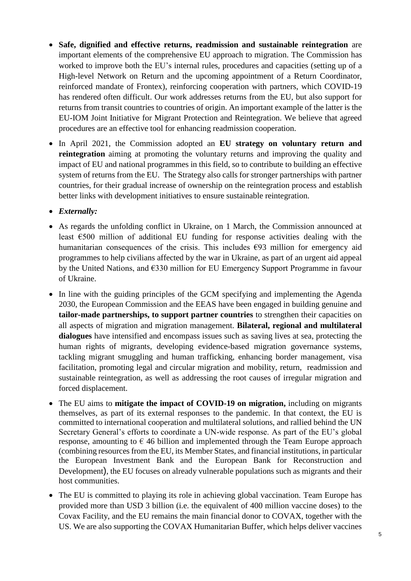- **Safe, dignified and effective returns, readmission and sustainable reintegration** are important elements of the comprehensive EU approach to migration. The Commission has worked to improve both the EU's internal rules, procedures and capacities (setting up of a High-level Network on Return and the upcoming appointment of a Return Coordinator, reinforced mandate of Frontex), reinforcing cooperation with partners, which COVID-19 has rendered often difficult. Our work addresses returns from the EU, but also support for returns from transit countries to countries of origin. An important example of the latter is the EU-IOM Joint Initiative for Migrant Protection and Reintegration. We believe that agreed procedures are an effective tool for enhancing readmission cooperation.
- In April 2021, the Commission adopted an **EU strategy on voluntary return and reintegration** aiming at promoting the voluntary returns and improving the quality and impact of EU and national programmes in this field, so to contribute to building an effective system of returns from the EU. The Strategy also calls for stronger partnerships with partner countries, for their gradual increase of ownership on the reintegration process and establish better links with development initiatives to ensure sustainable reintegration.

*Externally:*

- As regards the unfolding conflict in Ukraine, on 1 March, the Commission announced at least €500 million of additional EU funding for response activities dealing with the humanitarian consequences of the crisis. This includes  $\epsilon$ 93 million for emergency aid programmes to help civilians affected by the war in Ukraine, as part of an urgent aid appeal by the United Nations, and €330 million for EU Emergency Support Programme in favour of Ukraine.
- In line with the guiding principles of the GCM specifying and implementing the Agenda 2030, the European Commission and the EEAS have been engaged in building genuine and **tailor-made partnerships, to support partner countries** to strengthen their capacities on all aspects of migration and migration management. **Bilateral, regional and multilateral dialogues** have intensified and encompass issues such as saving lives at sea, protecting the human rights of migrants, developing evidence-based migration governance systems, tackling migrant smuggling and human trafficking, enhancing border management, visa facilitation, promoting legal and circular migration and mobility, return, readmission and sustainable reintegration, as well as addressing the root causes of irregular migration and forced displacement.
- The EU aims to **mitigate the impact of COVID-19 on migration,** including on migrants themselves, as part of its external responses to the pandemic. In that context, the EU is committed to international cooperation and multilateral solutions, and rallied behind the UN Secretary General's efforts to coordinate a UN-wide response. As part of the EU's global response, amounting to  $\epsilon$  46 billion and implemented through the Team Europe approach (combining resources from the EU, its Member States, and financial institutions, in particular the European Investment Bank and the European Bank for Reconstruction and Development), the EU focuses on already vulnerable populations such as migrants and their host communities.
- The EU is committed to playing its role in achieving global vaccination. Team Europe has provided more than USD 3 billion (i.e. the equivalent of 400 million vaccine doses) to the Covax Facility, and the EU remains the main financial donor to COVAX, together with the US. We are also supporting the COVAX Humanitarian Buffer, which helps deliver vaccines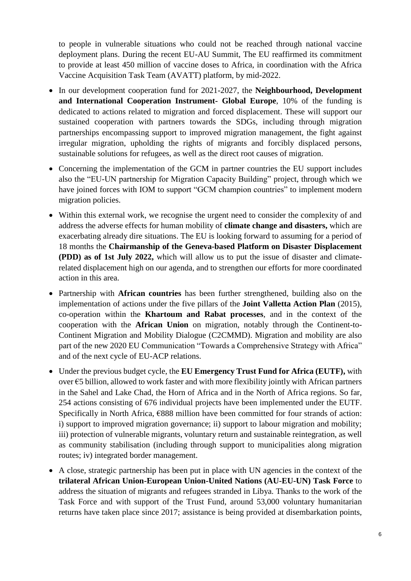to people in vulnerable situations who could not be reached through national vaccine deployment plans. During the recent EU-AU Summit, The EU reaffirmed its commitment to provide at least 450 million of vaccine doses to Africa, in coordination with the Africa Vaccine Acquisition Task Team (AVATT) platform, by mid-2022.

- In our development cooperation fund for 2021-2027, the **Neighbourhood, Development and International Cooperation Instrument- Global Europe**, 10% of the funding is dedicated to actions related to migration and forced displacement. These will support our sustained cooperation with partners towards the SDGs, including through migration partnerships encompassing support to improved migration management, the fight against irregular migration, upholding the rights of migrants and forcibly displaced persons, sustainable solutions for refugees, as well as the direct root causes of migration.
- Concerning the implementation of the GCM in partner countries the EU support includes also the "EU-UN partnership for Migration Capacity Building" project, through which we have joined forces with IOM to support "GCM champion countries" to implement modern migration policies.
- Within this external work, we recognise the urgent need to consider the complexity of and address the adverse effects for human mobility of **climate change and disasters,** which are exacerbating already dire situations. The EU is looking forward to assuming for a period of 18 months the **Chairmanship of the Geneva-based Platform on Disaster Displacement (PDD) as of 1st July 2022,** which will allow us to put the issue of disaster and climaterelated displacement high on our agenda, and to strengthen our efforts for more coordinated action in this area.
- Partnership with **African countries** has been further strengthened, building also on the implementation of actions under the five pillars of the **Joint Valletta Action Plan** (2015), co-operation within the **Khartoum and Rabat processes**, and in the context of the cooperation with the **African Union** on migration, notably through the Continent-to-Continent Migration and Mobility Dialogue (C2CMMD). Migration and mobility are also part of the new 2020 EU Communication "Towards a Comprehensive Strategy with Africa" and of the next cycle of EU-ACP relations.
- Under the previous budget cycle, the **EU Emergency Trust Fund for Africa (EUTF),** with over €5 billion, allowed to work faster and with more flexibility jointly with African partners in the Sahel and Lake Chad, the Horn of Africa and in the North of Africa regions. So far, 254 actions consisting of 676 individual projects have been implemented under the EUTF. Specifically in North Africa, €888 million have been committed for four strands of action: i) support to improved migration governance; ii) support to labour migration and mobility; iii) protection of vulnerable migrants, voluntary return and sustainable reintegration, as well as community stabilisation (including through support to municipalities along migration routes; iv) integrated border management.
- A close, strategic partnership has been put in place with UN agencies in the context of the **trilateral African Union-European Union-United Nations (AU-EU-UN) Task Force** to address the situation of migrants and refugees stranded in Libya. Thanks to the work of the Task Force and with support of the Trust Fund, around 53,000 voluntary humanitarian returns have taken place since 2017; assistance is being provided at disembarkation points,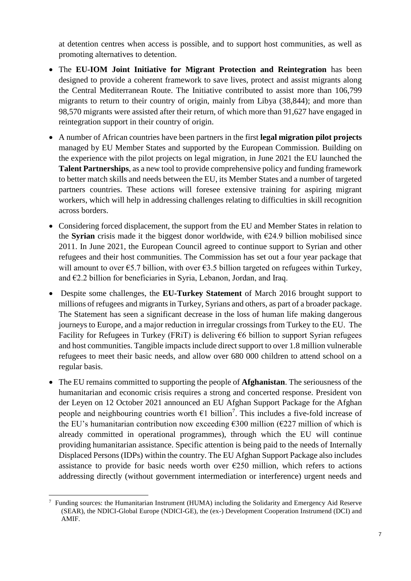at detention centres when access is possible, and to support host communities, as well as promoting alternatives to detention.

- The **EU-IOM Joint Initiative for Migrant Protection and Reintegration** has been designed to provide a coherent framework to save lives, protect and assist migrants along the Central Mediterranean Route. The Initiative contributed to assist more than 106,799 migrants to return to their country of origin, mainly from Libya (38,844); and more than 98,570 migrants were assisted after their return, of which more than 91,627 have engaged in reintegration support in their country of origin.
- A number of African countries have been partners in the first **legal migration pilot projects** managed by EU Member States and supported by the European Commission. Building on the experience with the pilot projects on legal migration, in June 2021 the EU launched the **Talent Partnerships**, as a new tool to provide comprehensive policy and funding framework to better match skills and needs between the EU, its Member States and a number of targeted partners countries. These actions will foresee extensive training for aspiring migrant workers, which will help in addressing challenges relating to difficulties in skill recognition across borders.
- Considering forced displacement, the support from the EU and Member States in relation to the **Syrian** crisis made it the biggest donor worldwide, with  $\epsilon$ 24.9 billion mobilised since 2011. In June 2021, the European Council agreed to continue support to Syrian and other refugees and their host communities. The Commission has set out a four year package that will amount to over  $\epsilon$ 5.7 billion, with over  $\epsilon$ 3.5 billion targeted on refugees within Turkey, and €2.2 billion for beneficiaries in Syria, Lebanon, Jordan, and Iraq.
- Despite some challenges, the **EU-Turkey Statement** of March 2016 brought support to millions of refugees and migrants in Turkey, Syrians and others, as part of a broader package. The Statement has seen a significant decrease in the loss of human life making dangerous journeys to Europe, and a major reduction in irregular crossings from Turkey to the EU. The Facility for Refugees in Turkey (FRiT) is delivering  $66$  billion to support Syrian refugees and host communities. Tangible impacts include direct support to over 1.8 million vulnerable refugees to meet their basic needs, and allow over 680 000 children to attend school on a regular basis.
- The EU remains committed to supporting the people of **Afghanistan**. The seriousness of the humanitarian and economic crisis requires a strong and concerted response. President von der Leyen on 12 October 2021 announced an EU Afghan Support Package for the Afghan people and neighbouring countries worth  $\epsilon$ 1 billion<sup>7</sup>. This includes a five-fold increase of the EU's humanitarian contribution now exceeding  $\epsilon$ 300 million ( $\epsilon$ 227 million of which is already committed in operational programmes), through which the EU will continue providing humanitarian assistance. Specific attention is being paid to the needs of Internally Displaced Persons (IDPs) within the country. The EU Afghan Support Package also includes assistance to provide for basic needs worth over  $E250$  million, which refers to actions addressing directly (without government intermediation or interference) urgent needs and

 $\overline{a}$ 7 Funding sources: the Humanitarian Instrument (HUMA) including the Solidarity and Emergency Aid Reserve (SEAR), the NDICI-Global Europe (NDICI-GE), the (ex-) Development Cooperation Instrumend (DCI) and AMIF.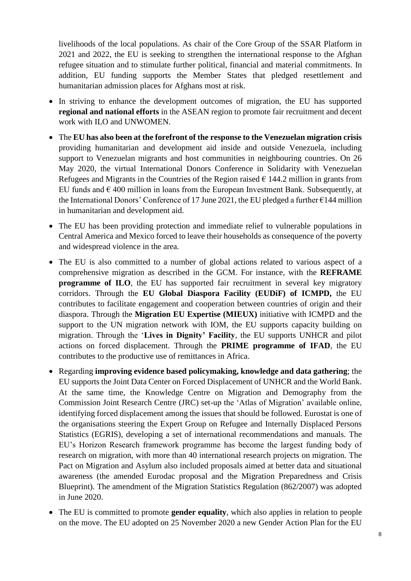livelihoods of the local populations. As chair of the Core Group of the SSAR Platform in 2021 and 2022, the EU is seeking to strengthen the international response to the Afghan refugee situation and to stimulate further political, financial and material commitments. In addition, EU funding supports the Member States that pledged resettlement and humanitarian admission places for Afghans most at risk.

- In striving to enhance the development outcomes of migration, the EU has supported **regional and national efforts** in the ASEAN region to promote fair recruitment and decent work with ILO and UNWOMEN.
- The **EU has also been at the forefront of the response to the Venezuelan migration crisis** providing humanitarian and development aid inside and outside Venezuela, including support to Venezuelan migrants and host communities in neighbouring countries. On 26 May 2020, the virtual International Donors Conference in Solidarity with Venezuelan Refugees and Migrants in the Countries of the Region raised  $\epsilon$  144.2 million in grants from EU funds and  $\epsilon$  400 million in loans from the European Investment Bank. Subsequently, at the International Donors' Conference of 17 June 2021, the EU pledged a further  $\epsilon$ 144 million in humanitarian and development aid.
- The EU has been providing protection and immediate relief to vulnerable populations in Central America and Mexico forced to leave their households as consequence of the poverty and widespread violence in the area.
- The EU is also committed to a number of global actions related to various aspect of a comprehensive migration as described in the GCM. For instance, with the **REFRAME programme of ILO**, the EU has supported fair recruitment in several key migratory corridors. Through the **EU Global Diaspora Facility (EUDiF) of ICMPD,** the EU contributes to facilitate engagement and cooperation between countries of origin and their diaspora. Through the **Migration EU Expertise (MIEUX)** initiative with ICMPD and the support to the UN migration network with IOM, the EU supports capacity building on migration. Through the '**Lives in Dignity' Facility**, the EU supports UNHCR and pilot actions on forced displacement. Through the **PRIME programme of IFAD**, the EU contributes to the productive use of remittances in Africa.
- Regarding **improving evidence based policymaking, knowledge and data gathering**; the EU supports the Joint Data Center on Forced Displacement of UNHCR and the World Bank. At the same time, the Knowledge Centre on Migration and Demography from the Commission Joint Research Centre (JRC) set-up the 'Atlas of Migration' available online, identifying forced displacement among the issues that should be followed. Eurostat is one of the organisations steering the Expert Group on Refugee and Internally Displaced Persons Statistics (EGRIS), developing a set of international recommendations and manuals. The EU's Horizon Research framework programme has become the largest funding body of research on migration, with more than 40 international research projects on migration. The Pact on Migration and Asylum also included proposals aimed at better data and situational awareness (the amended Eurodac proposal and the Migration Preparedness and Crisis Blueprint). The amendment of the Migration Statistics Regulation (862/2007) was adopted in June 2020.
- The EU is committed to promote **gender equality**, which also applies in relation to people on the move. The EU adopted on 25 November 2020 a new Gender Action Plan for the EU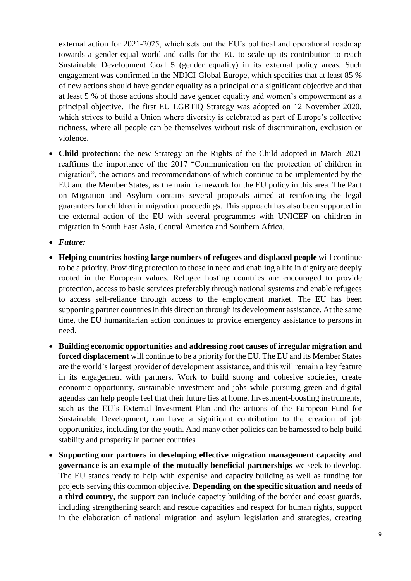external action for 2021-2025, which sets out the EU's political and operational roadmap towards a gender-equal world and calls for the EU to scale up its contribution to reach Sustainable Development Goal 5 (gender equality) in its external policy areas. Such engagement was confirmed in the NDICI-Global Europe, which specifies that at least 85 % of new actions should have gender equality as a principal or a significant objective and that at least 5 % of those actions should have gender equality and women's empowerment as a principal objective. The first EU LGBTIQ Strategy was adopted on 12 November 2020, which strives to build a Union where diversity is celebrated as part of Europe's collective richness, where all people can be themselves without risk of discrimination, exclusion or violence.

- **Child protection**: the new Strategy on the Rights of the Child adopted in March 2021 reaffirms the importance of the 2017 "Communication on the protection of children in migration", the actions and recommendations of which continue to be implemented by the EU and the Member States, as the main framework for the EU policy in this area. The Pact on Migration and Asylum contains several proposals aimed at reinforcing the legal guarantees for children in migration proceedings. This approach has also been supported in the external action of the EU with several programmes with UNICEF on children in migration in South East Asia, Central America and Southern Africa.
- *Future:*
- **Helping countries hosting large numbers of refugees and displaced people** will continue to be a priority. Providing protection to those in need and enabling a life in dignity are deeply rooted in the European values. Refugee hosting countries are encouraged to provide protection, access to basic services preferably through national systems and enable refugees to access self-reliance through access to the employment market. The EU has been supporting partner countries in this direction through its development assistance. At the same time, the EU humanitarian action continues to provide emergency assistance to persons in need.
- **Building economic opportunities and addressing root causes of irregular migration and forced displacement** will continue to be a priority for the EU. The EU and its Member States are the world's largest provider of development assistance, and this will remain a key feature in its engagement with partners. Work to build strong and cohesive societies, create economic opportunity, sustainable investment and jobs while pursuing green and digital agendas can help people feel that their future lies at home. Investment-boosting instruments, such as the EU's External Investment Plan and the actions of the European Fund for Sustainable Development, can have a significant contribution to the creation of job opportunities, including for the youth. And many other policies can be harnessed to help build stability and prosperity in partner countries
- **Supporting our partners in developing effective migration management capacity and governance is an example of the mutually beneficial partnerships** we seek to develop. The EU stands ready to help with expertise and capacity building as well as funding for projects serving this common objective. **Depending on the specific situation and needs of a third country**, the support can include capacity building of the border and coast guards, including strengthening search and rescue capacities and respect for human rights, support in the elaboration of national migration and asylum legislation and strategies, creating